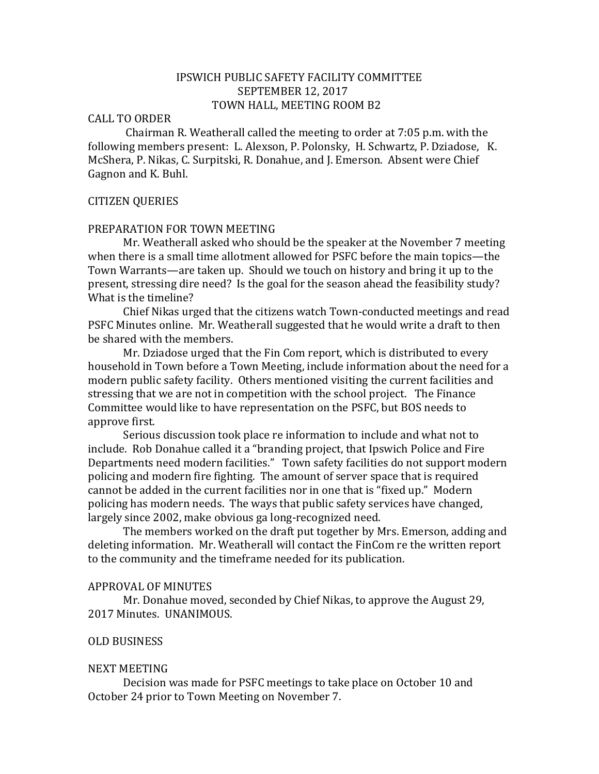# IPSWICH PUBLIC SAFETY FACILITY COMMITTEE SEPTEMBER 12, 2017 TOWN HALL, MEETING ROOM B2

## CALL TO ORDER

Chairman R. Weatherall called the meeting to order at 7:05 p.m. with the following members present: L. Alexson, P. Polonsky, H. Schwartz, P. Dziadose, K. McShera, P. Nikas, C. Surpitski, R. Donahue, and J. Emerson. Absent were Chief Gagnon and K. Buhl.

#### CITIZEN QUERIES

#### PREPARATION FOR TOWN MEETING

Mr. Weatherall asked who should be the speaker at the November 7 meeting when there is a small time allotment allowed for PSFC before the main topics—the Town Warrants—are taken up. Should we touch on history and bring it up to the present, stressing dire need? Is the goal for the season ahead the feasibility study? What is the timeline?

Chief Nikas urged that the citizens watch Town-conducted meetings and read PSFC Minutes online. Mr. Weatherall suggested that he would write a draft to then be shared with the members.

Mr. Dziadose urged that the Fin Com report, which is distributed to every household in Town before a Town Meeting, include information about the need for a modern public safety facility. Others mentioned visiting the current facilities and stressing that we are not in competition with the school project. The Finance Committee would like to have representation on the PSFC, but BOS needs to approve first.

Serious discussion took place re information to include and what not to include. Rob Donahue called it a "branding project, that Ipswich Police and Fire Departments need modern facilities." Town safety facilities do not support modern policing and modern fire fighting. The amount of server space that is required cannot be added in the current facilities nor in one that is "fixed up." Modern policing has modern needs. The ways that public safety services have changed, largely since 2002, make obvious ga long-recognized need.

The members worked on the draft put together by Mrs. Emerson, adding and deleting information. Mr. Weatherall will contact the FinCom re the written report to the community and the timeframe needed for its publication.

### APPROVAL OF MINUTES

Mr. Donahue moved, seconded by Chief Nikas, to approve the August 29, 2017 Minutes. UNANIMOUS.

### OLD BUSINESS

#### NEXT MEETING

Decision was made for PSFC meetings to take place on October 10 and October 24 prior to Town Meeting on November 7.